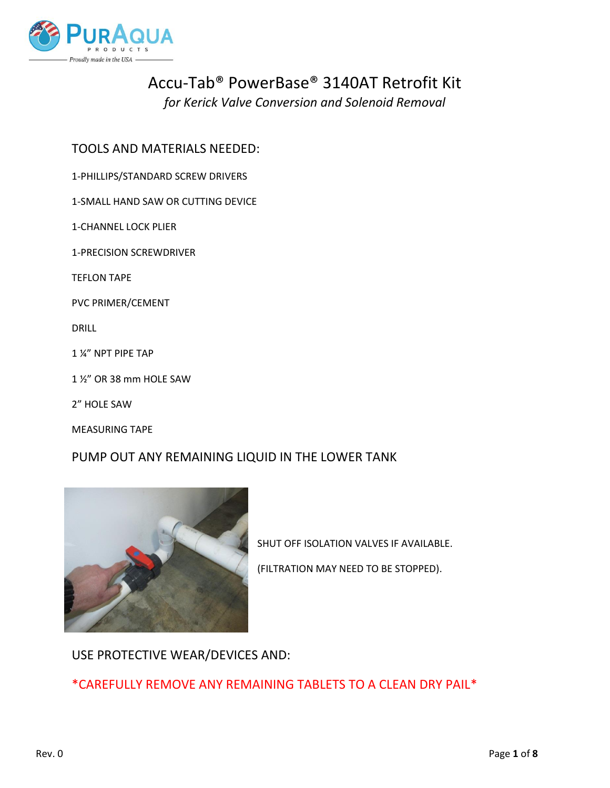

# Accu-Tab® PowerBase® 3140AT Retrofit Kit

*for Kerick Valve Conversion and Solenoid Removal*

# TOOLS AND MATERIALS NEEDED:

1-PHILLIPS/STANDARD SCREW DRIVERS

1-SMALL HAND SAW OR CUTTING DEVICE

### 1-CHANNEL LOCK PLIER

1-PRECISION SCREWDRIVER

TEFLON TAPE

PVC PRIMER/CEMENT

DRILL

1 ¼" NPT PIPE TAP

1 ½" OR 38 mm HOLE SAW

2" HOLE SAW

MEASURING TAPE

# PUMP OUT ANY REMAINING LIQUID IN THE LOWER TANK



SHUT OFF ISOLATION VALVES IF AVAILABLE. (FILTRATION MAY NEED TO BE STOPPED).

USE PROTECTIVE WEAR/DEVICES AND:

\*CAREFULLY REMOVE ANY REMAINING TABLETS TO A CLEAN DRY PAIL\*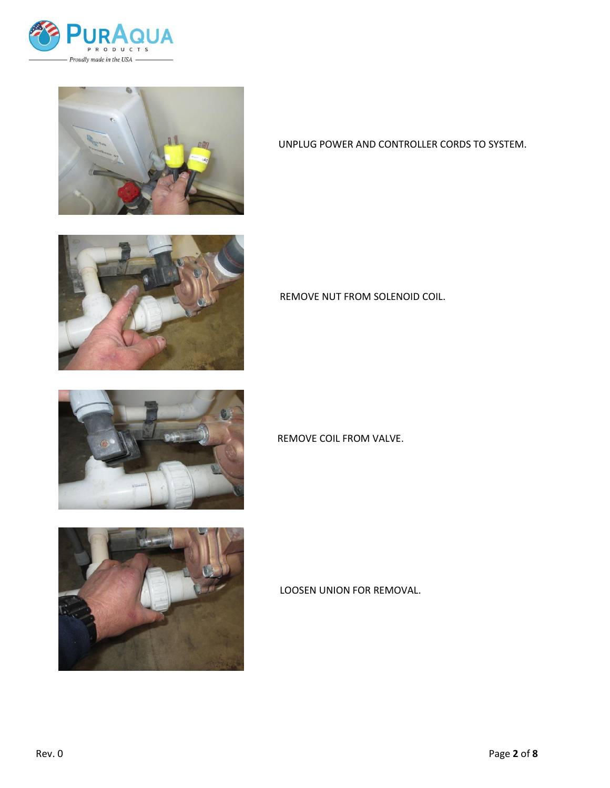



UNPLUG POWER AND CONTROLLER CORDS TO SYSTEM.







REMOVE NUT FROM SOLENOID COIL.

## REMOVE COIL FROM VALVE.

# LOOSEN UNION FOR REMOVAL.

Rev. 0 Page 2 of 8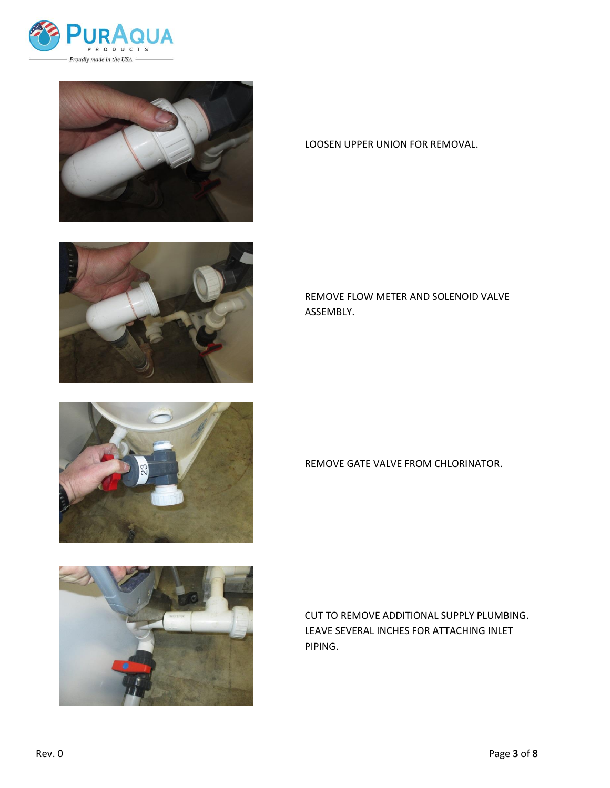









LOOSEN UPPER UNION FOR REMOVAL.

REMOVE FLOW METER AND SOLENOID VALVE ASSEMBLY.

REMOVE GATE VALVE FROM CHLORINATOR.

CUT TO REMOVE ADDITIONAL SUPPLY PLUMBING. LEAVE SEVERAL INCHES FOR ATTACHING INLET PIPING.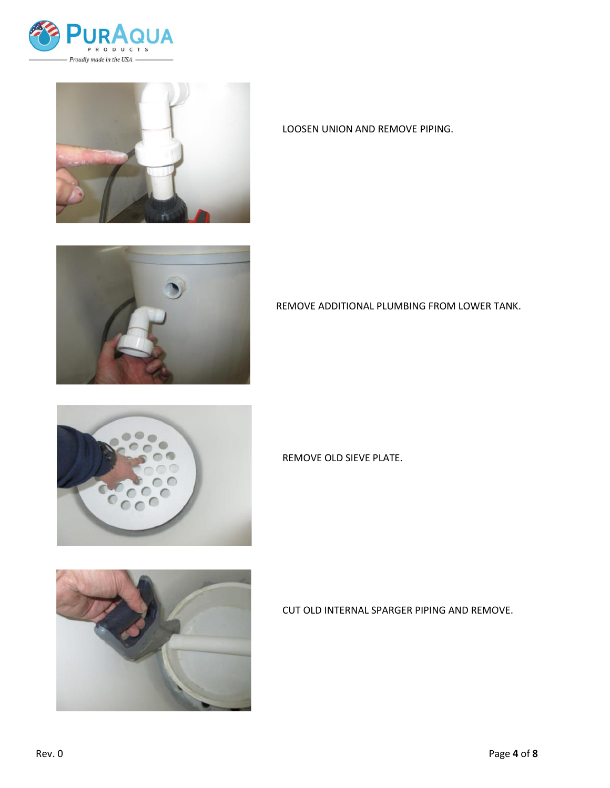



LOOSEN UNION AND REMOVE PIPING.



REMOVE ADDITIONAL PLUMBING FROM LOWER TANK.



REMOVE OLD SIEVE PLATE.



CUT OLD INTERNAL SPARGER PIPING AND REMOVE.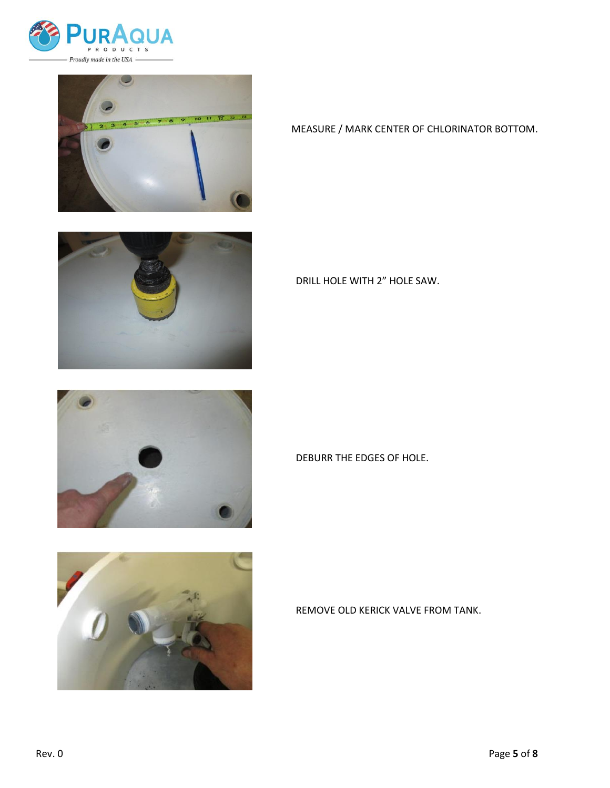



MEASURE / MARK CENTER OF CHLORINATOR BOTTOM.







DRILL HOLE WITH 2" HOLE SAW.

#### DEBURR THE EDGES OF HOLE.

## REMOVE OLD KERICK VALVE FROM TANK.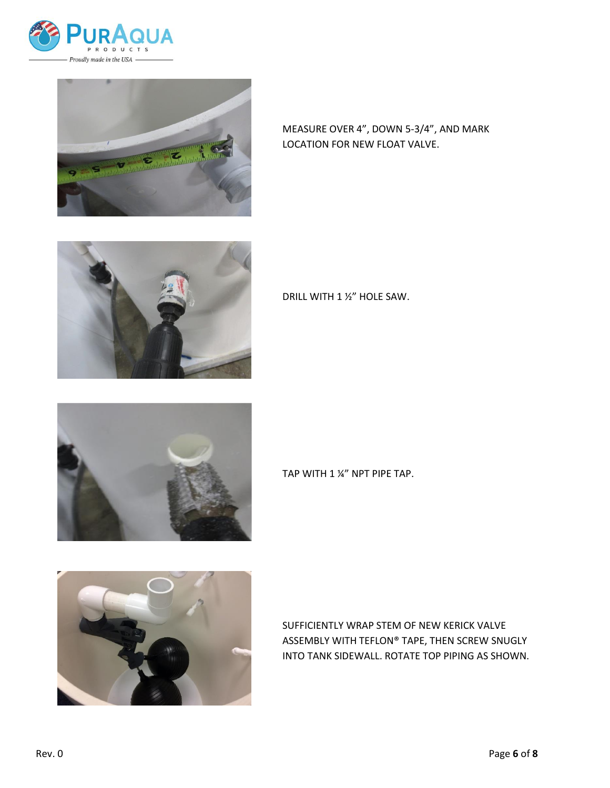



MEASURE OVER 4", DOWN 5-3/4", AND MARK LOCATION FOR NEW FLOAT VALVE.



DRILL WITH 1 ½" HOLE SAW.



TAP WITH 1 ¼" NPT PIPE TAP.



SUFFICIENTLY WRAP STEM OF NEW KERICK VALVE ASSEMBLY WITH TEFLON® TAPE, THEN SCREW SNUGLY INTO TANK SIDEWALL. ROTATE TOP PIPING AS SHOWN.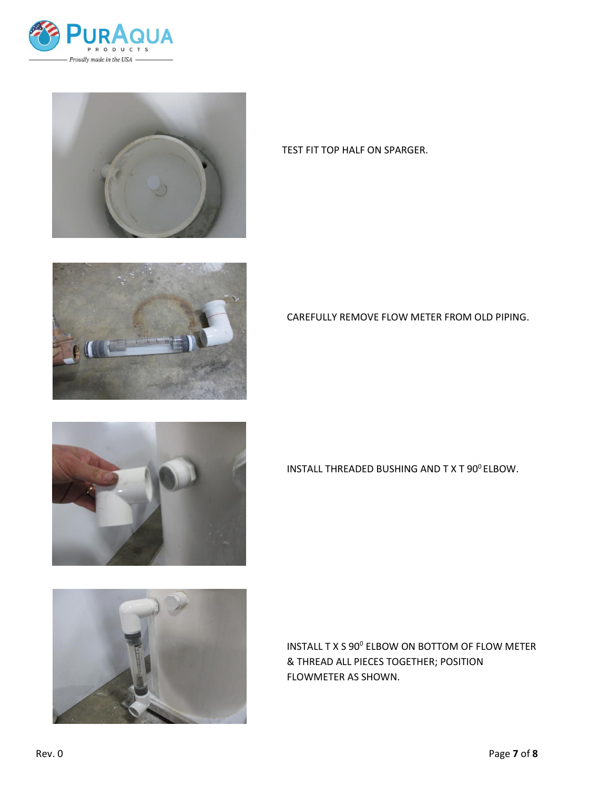



TEST FIT TOP HALF ON SPARGER.





CAREFULLY REMOVE FLOW METER FROM OLD PIPING.

INSTALL THREADED BUSHING AND TXT 90° ELBOW.

INSTALL T X S 90<sup>0</sup> ELBOW ON BOTTOM OF FLOW METER & THREAD ALL PIECES TOGETHER; POSITION FLOWMETER AS SHOWN.